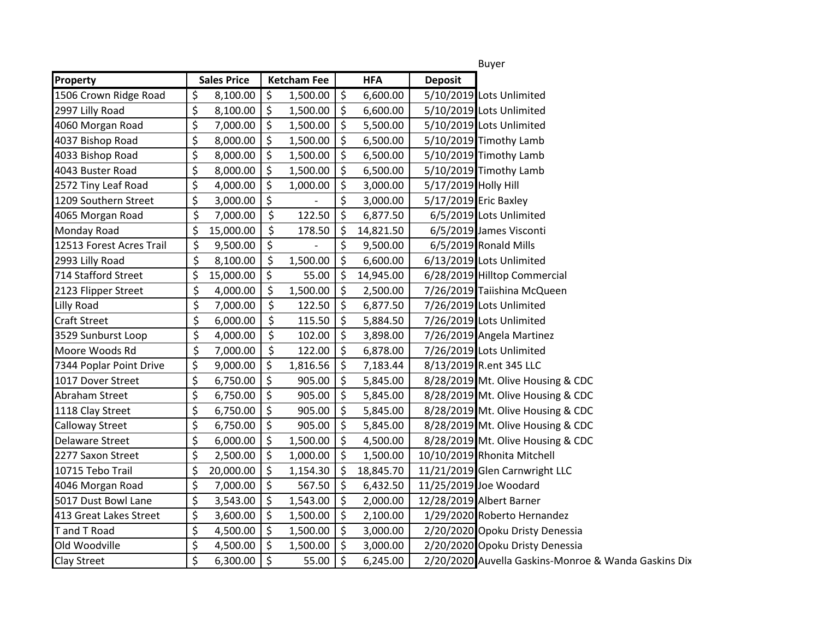|                          |                    |                    |          |                     |           | <b>Buyer</b>                                         |  |
|--------------------------|--------------------|--------------------|----------|---------------------|-----------|------------------------------------------------------|--|
| Property                 | <b>Sales Price</b> | <b>Ketcham Fee</b> |          | <b>HFA</b>          |           | <b>Deposit</b>                                       |  |
| 1506 Crown Ridge Road    | \$<br>8,100.00     | \$                 | 1,500.00 | $\zeta$             | 6,600.00  | 5/10/2019 Lots Unlimited                             |  |
| 2997 Lilly Road          | \$<br>8,100.00     | \$                 | 1,500.00 | $\zeta$             | 6,600.00  | 5/10/2019 Lots Unlimited                             |  |
| 4060 Morgan Road         | \$<br>7,000.00     | \$                 | 1,500.00 | $\zeta$             | 5,500.00  | 5/10/2019 Lots Unlimited                             |  |
| 4037 Bishop Road         | \$<br>8,000.00     | \$                 | 1,500.00 | \$                  | 6,500.00  | 5/10/2019 Timothy Lamb                               |  |
| 4033 Bishop Road         | \$<br>8,000.00     | \$                 | 1,500.00 | \$                  | 6,500.00  | 5/10/2019 Timothy Lamb                               |  |
| 4043 Buster Road         | \$<br>8,000.00     | \$                 | 1,500.00 | $\zeta$             | 6,500.00  | 5/10/2019 Timothy Lamb                               |  |
| 2572 Tiny Leaf Road      | \$<br>4,000.00     | \$                 | 1,000.00 | $\zeta$             | 3,000.00  | 5/17/2019 Holly Hill                                 |  |
| 1209 Southern Street     | \$<br>3,000.00     | \$                 |          | \$                  | 3,000.00  | 5/17/2019 Eric Baxley                                |  |
| 4065 Morgan Road         | \$<br>7,000.00     | \$                 | 122.50   | \$                  | 6,877.50  | 6/5/2019 Lots Unlimited                              |  |
| Monday Road              | \$<br>15,000.00    | $\zeta$            | 178.50   | \$                  | 14,821.50 | 6/5/2019 James Visconti                              |  |
| 12513 Forest Acres Trail | \$<br>9,500.00     | \$                 |          | \$                  | 9,500.00  | 6/5/2019 Ronald Mills                                |  |
| 2993 Lilly Road          | \$<br>8,100.00     | \$                 | 1,500.00 | \$                  | 6,600.00  | 6/13/2019 Lots Unlimited                             |  |
| 714 Stafford Street      | \$<br>15,000.00    | \$                 | 55.00    | $\zeta$             | 14,945.00 | 6/28/2019 Hilltop Commercial                         |  |
| 2123 Flipper Street      | \$<br>4,000.00     | \$                 | 1,500.00 | $\zeta$             | 2,500.00  | 7/26/2019 Taiishina McQueen                          |  |
| Lilly Road               | \$<br>7,000.00     | \$                 | 122.50   | \$                  | 6,877.50  | 7/26/2019 Lots Unlimited                             |  |
| <b>Craft Street</b>      | \$<br>6,000.00     | \$                 | 115.50   | $\zeta$             | 5,884.50  | 7/26/2019 Lots Unlimited                             |  |
| 3529 Sunburst Loop       | \$<br>4,000.00     | $\zeta$            | 102.00   | \$                  | 3,898.00  | 7/26/2019 Angela Martinez                            |  |
| Moore Woods Rd           | \$<br>7,000.00     | \$                 | 122.00   | $\ddot{\mathsf{S}}$ | 6,878.00  | 7/26/2019 Lots Unlimited                             |  |
| 7344 Poplar Point Drive  | \$<br>9,000.00     | \$                 | 1,816.56 | $\zeta$             | 7,183.44  | 8/13/2019 R.ent 345 LLC                              |  |
| 1017 Dover Street        | \$<br>6,750.00     | \$                 | 905.00   | \$                  | 5,845.00  | 8/28/2019 Mt. Olive Housing & CDC                    |  |
| Abraham Street           | \$<br>6,750.00     | \$                 | 905.00   | $\zeta$             | 5,845.00  | 8/28/2019 Mt. Olive Housing & CDC                    |  |
| 1118 Clay Street         | \$<br>6,750.00     | \$                 | 905.00   | $\zeta$             | 5,845.00  | 8/28/2019 Mt. Olive Housing & CDC                    |  |
| Calloway Street          | \$<br>6,750.00     | \$                 | 905.00   | $\zeta$             | 5,845.00  | 8/28/2019 Mt. Olive Housing & CDC                    |  |
| Delaware Street          | \$<br>6,000.00     | \$                 | 1,500.00 | \$                  | 4,500.00  | 8/28/2019 Mt. Olive Housing & CDC                    |  |
| 2277 Saxon Street        | \$<br>2,500.00     | \$                 | 1,000.00 | \$                  | 1,500.00  | 10/10/2019 Rhonita Mitchell                          |  |
| 10715 Tebo Trail         | \$<br>20,000.00    | $\zeta$            | 1,154.30 | $\zeta$             | 18,845.70 | 11/21/2019 Glen Carnwright LLC                       |  |
| 4046 Morgan Road         | \$<br>7,000.00     | \$                 | 567.50   | $\zeta$             | 6,432.50  | 11/25/2019 Joe Woodard                               |  |
| 5017 Dust Bowl Lane      | \$<br>3,543.00     | \$                 | 1,543.00 | $\ddot{\mathsf{S}}$ | 2,000.00  | 12/28/2019 Albert Barner                             |  |
| 413 Great Lakes Street   | \$<br>3,600.00     | \$                 | 1,500.00 | $\zeta$             | 2,100.00  | 1/29/2020 Roberto Hernandez                          |  |
| T and T Road             | \$<br>4,500.00     | Ŝ.                 | 1,500.00 | \$                  | 3,000.00  | 2/20/2020 Opoku Dristy Denessia                      |  |
| Old Woodville            | \$<br>4,500.00     | $\zeta$            | 1,500.00 | $\zeta$             | 3,000.00  | 2/20/2020 Opoku Dristy Denessia                      |  |
| Clay Street              | \$<br>6,300.00     | \$                 | 55.00    | $\zeta$             | 6,245.00  | 2/20/2020 Auvella Gaskins-Monroe & Wanda Gaskins Dix |  |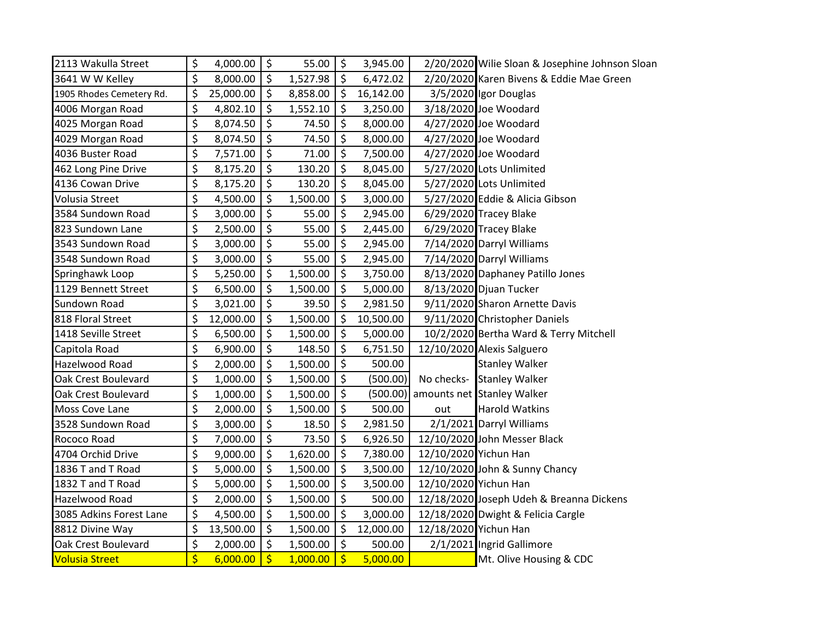| 2113 Wakulla Street      | \$                      | 4,000.00  | \$                       | 55.00    | $\ddot{\phi}$          | 3,945.00  |                       | 2/20/2020 Wilie Sloan & Josephine Johnson Sloan |
|--------------------------|-------------------------|-----------|--------------------------|----------|------------------------|-----------|-----------------------|-------------------------------------------------|
| 3641 W W Kelley          | $\zeta$                 | 8,000.00  | \$                       | 1,527.98 | $\zeta$                | 6,472.02  |                       | 2/20/2020 Karen Bivens & Eddie Mae Green        |
| 1905 Rhodes Cemetery Rd. | \$                      | 25,000.00 | \$                       | 8,858.00 | $\zeta$                | 16,142.00 |                       | 3/5/2020 Igor Douglas                           |
| 4006 Morgan Road         | \$                      | 4,802.10  | \$                       | 1,552.10 | \$                     | 3,250.00  |                       | 3/18/2020 Joe Woodard                           |
| 4025 Morgan Road         | \$                      | 8,074.50  | \$                       | 74.50    | $\zeta$                | 8,000.00  |                       | 4/27/2020 Joe Woodard                           |
| 4029 Morgan Road         | \$                      | 8,074.50  | \$                       | 74.50    | \$                     | 8,000.00  |                       | 4/27/2020 Joe Woodard                           |
| 4036 Buster Road         | \$                      | 7,571.00  | $\zeta$                  | 71.00    | \$                     | 7,500.00  |                       | 4/27/2020 Joe Woodard                           |
| 462 Long Pine Drive      | \$                      | 8,175.20  | \$                       | 130.20   | $\zeta$                | 8,045.00  |                       | 5/27/2020 Lots Unlimited                        |
| 4136 Cowan Drive         | \$                      | 8,175.20  | \$                       | 130.20   | $\zeta$                | 8,045.00  |                       | 5/27/2020 Lots Unlimited                        |
| <b>Volusia Street</b>    | $\overline{\xi}$        | 4,500.00  | \$                       | 1,500.00 | $\zeta$                | 3,000.00  |                       | 5/27/2020 Eddie & Alicia Gibson                 |
| 3584 Sundown Road        | \$                      | 3,000.00  | \$                       | 55.00    | $\zeta$                | 2,945.00  |                       | 6/29/2020 Tracey Blake                          |
| 823 Sundown Lane         | \$                      | 2,500.00  | \$                       | 55.00    | \$                     | 2,445.00  |                       | 6/29/2020 Tracey Blake                          |
| 3543 Sundown Road        | \$                      | 3,000.00  | \$                       | 55.00    | $\zeta$                | 2,945.00  |                       | 7/14/2020 Darryl Williams                       |
| 3548 Sundown Road        | \$                      | 3,000.00  | \$                       | 55.00    | \$                     | 2,945.00  |                       | 7/14/2020 Darryl Williams                       |
| Springhawk Loop          | $\overline{\xi}$        | 5,250.00  | \$                       | 1,500.00 | $\zeta$                | 3,750.00  |                       | 8/13/2020 Daphaney Patillo Jones                |
| 1129 Bennett Street      | \$                      | 6,500.00  | \$                       | 1,500.00 | $\zeta$                | 5,000.00  |                       | 8/13/2020 Djuan Tucker                          |
| <b>Sundown Road</b>      | \$                      | 3,021.00  | \$                       | 39.50    | $\zeta$                | 2,981.50  |                       | 9/11/2020 Sharon Arnette Davis                  |
| 818 Floral Street        | \$                      | 12,000.00 | \$                       | 1,500.00 | $\zeta$                | 10,500.00 |                       | 9/11/2020 Christopher Daniels                   |
| 1418 Seville Street      | \$                      | 6,500.00  | \$                       | 1,500.00 | \$                     | 5,000.00  |                       | 10/2/2020 Bertha Ward & Terry Mitchell          |
| Capitola Road            | \$                      | 6,900.00  | $\overline{\mathcal{S}}$ | 148.50   | $\overline{\varsigma}$ | 6,751.50  |                       | 12/10/2020 Alexis Salguero                      |
| Hazelwood Road           | \$                      | 2,000.00  | \$                       | 1,500.00 | \$                     | 500.00    |                       | <b>Stanley Walker</b>                           |
| Oak Crest Boulevard      | \$                      | 1,000.00  | \$                       | 1,500.00 | $\zeta$                | (500.00)  |                       | No checks- Stanley Walker                       |
| Oak Crest Boulevard      | \$                      | 1,000.00  | \$                       | 1,500.00 | $\zeta$                | (500.00)  |                       | amounts net Stanley Walker                      |
| Moss Cove Lane           | \$                      | 2,000.00  | \$                       | 1,500.00 | \$                     | 500.00    | out                   | <b>Harold Watkins</b>                           |
| 3528 Sundown Road        | \$                      | 3,000.00  | \$                       | 18.50    | \$                     | 2,981.50  |                       | 2/1/2021 Darryl Williams                        |
| Rococo Road              | \$                      | 7,000.00  | \$                       | 73.50    | \$                     | 6,926.50  |                       | 12/10/2020 John Messer Black                    |
| 4704 Orchid Drive        | \$                      | 9,000.00  | $\zeta$                  | 1,620.00 | $\zeta$                | 7,380.00  | 12/10/2020 Yichun Han |                                                 |
| 1836 T and T Road        | \$                      | 5,000.00  | \$                       | 1,500.00 | $\zeta$                | 3,500.00  |                       | 12/10/2020 John & Sunny Chancy                  |
| 1832 T and T Road        | \$                      | 5,000.00  | \$                       | 1,500.00 | \$                     | 3,500.00  | 12/10/2020 Yichun Han |                                                 |
| Hazelwood Road           | $\overline{\xi}$        | 2,000.00  | \$                       | 1,500.00 | $\overline{\xi}$       | 500.00    |                       | 12/18/2020 Joseph Udeh & Breanna Dickens        |
| 3085 Adkins Forest Lane  | \$                      | 4,500.00  | \$                       | 1,500.00 | $\zeta$                | 3,000.00  |                       | 12/18/2020 Dwight & Felicia Cargle              |
| 8812 Divine Way          | \$                      | 13,500.00 | \$                       | 1,500.00 | $\zeta$                | 12,000.00 | 12/18/2020 Yichun Han |                                                 |
| Oak Crest Boulevard      | \$                      | 2,000.00  | \$                       | 1,500.00 | $\zeta$                | 500.00    |                       | 2/1/2021 Ingrid Gallimore                       |
| <b>Volusia Street</b>    | $\overline{\mathsf{S}}$ | 6,000.00  | $\zeta$                  | 1,000.00 | $\ddot{\varsigma}$     | 5,000.00  |                       | Mt. Olive Housing & CDC                         |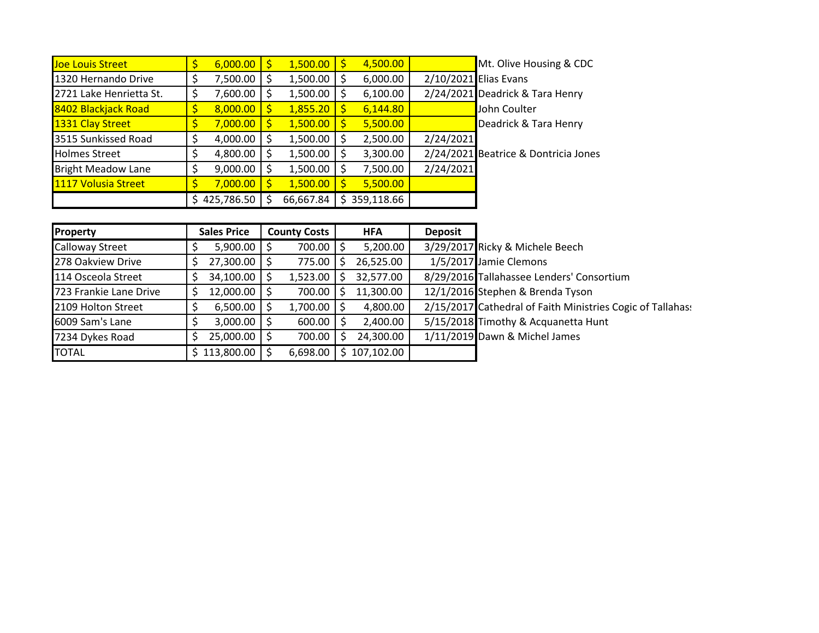| Joe Louis Street          | $6,000.00$   \$ | 1,500.00  | 4,500.00   |           | Mt. Olive Housing & CDC              |
|---------------------------|-----------------|-----------|------------|-----------|--------------------------------------|
| 1320 Hernando Drive       | 7,500.00        | 1,500.00  | 6,000.00   |           | 2/10/2021 Elias Evans                |
| 2721 Lake Henrietta St.   | 7,600.00        | 1,500.00  | 6,100.00   |           | 2/24/2021 Deadrick & Tara Henry      |
| 8402 Blackjack Road       | 8,000.00        | 1,855.20  | 6,144.80   |           | John Coulter                         |
| 1331 Clay Street          | 7,000.00        | 1,500.00  | 5,500.00   |           | Deadrick & Tara Henry                |
| 3515 Sunkissed Road       | 4,000.00        | 1,500.00  | 2,500.00   | 2/24/2021 |                                      |
| <b>Holmes Street</b>      | 4,800.00        | 1,500.00  | 3,300.00   |           | 2/24/2021 Beatrice & Dontricia Jones |
| <b>Bright Meadow Lane</b> | 9,000.00        | 1,500.00  | 7,500.00   | 2/24/2021 |                                      |
| 1117 Volusia Street       | 7,000.00        | 1,500.00  | 5,500.00   |           |                                      |
|                           | \$425,786.50    | 66,667.84 | 359,118.66 |           |                                      |

| Property               | <b>Sales Price</b> | <b>County Costs</b> | <b>HFA</b>      | <b>Deposit</b> |                                                            |
|------------------------|--------------------|---------------------|-----------------|----------------|------------------------------------------------------------|
| <b>Calloway Street</b> | $5,900.00$   \$    | 700.00              | 5,200.00        |                | 3/29/2017 Ricky & Michele Beech                            |
| 278 Oakview Drive      | 27,300.00          | 775.00              | 26,525.00<br>S  |                | 1/5/2017 Jamie Clemons                                     |
| 114 Osceola Street     | 34,100.00 \$       | 1,523.00            | 32,577.00<br>S  |                | 8/29/2016 Tallahassee Lenders' Consortium                  |
| 723 Frankie Lane Drive | 12,000.00          | 700.00              | 11,300.00       |                | 12/1/2016 Stephen & Brenda Tyson                           |
| 2109 Holton Street     | 6,500.00           | 1,700.00            | 4,800.00        |                | 2/15/2017 Cathedral of Faith Ministries Cogic of Tallahas: |
| 6009 Sam's Lane        | $3,000.00$   \$    | 600.00              | 2,400.00        |                | 5/15/2018 Timothy & Acquanetta Hunt                        |
| 7234 Dykes Road        | $25,000.00$   \$   | 700.00              | 24,300.00       |                | 1/11/2019 Dawn & Michel James                              |
| <b>TOTAL</b>           | 113,800.00         | 6,698.00            | 107,102.00<br>S |                |                                                            |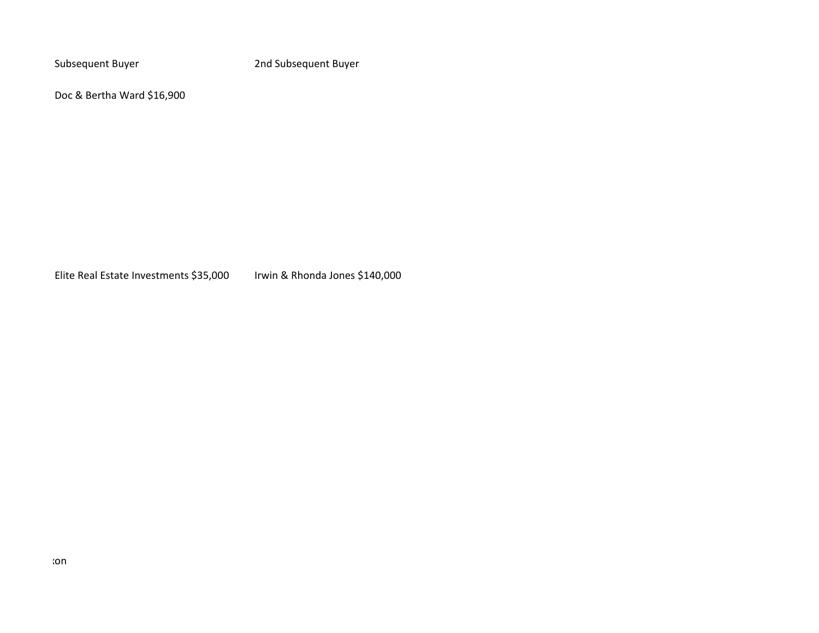Subsequent Buyer 2nd Subsequent Buyer

Doc & Bertha Ward \$16,900

Elite Real Estate Investments \$35,000 Irwin & Rhonda Jones \$140,000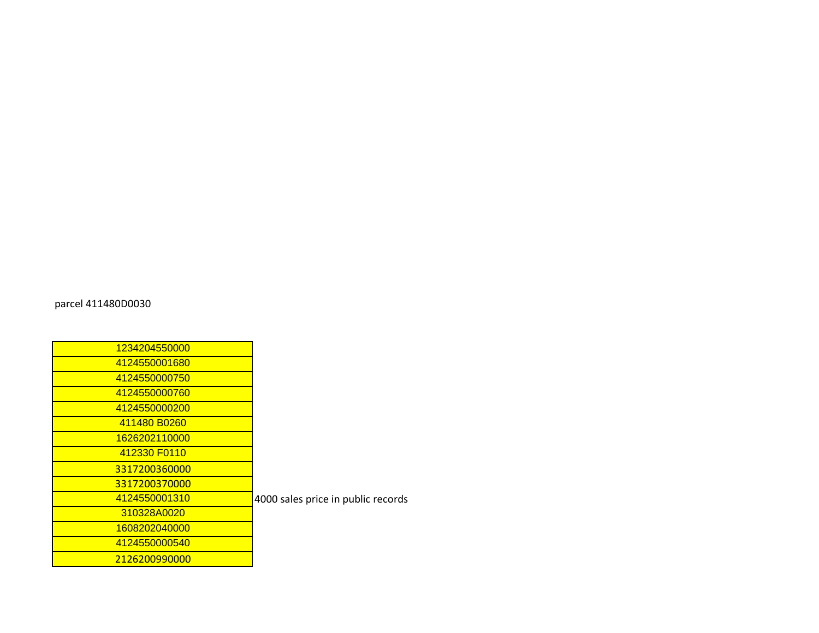| 1234204550000 |                                    |
|---------------|------------------------------------|
| 4124550001680 |                                    |
| 4124550000750 |                                    |
| 4124550000760 |                                    |
| 4124550000200 |                                    |
| 411480 B0260  |                                    |
| 1626202110000 |                                    |
| 412330 F0110  |                                    |
| 3317200360000 |                                    |
| 3317200370000 |                                    |
| 4124550001310 | 4000 sales price in public records |
| 310328A0020   |                                    |
| 1608202040000 |                                    |
| 4124550000540 |                                    |
| 2126200990000 |                                    |
|               |                                    |

parcel 411480D0030